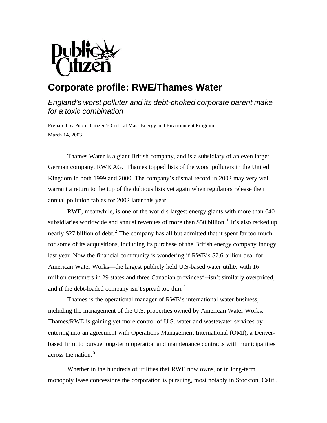

# **Corporate profile: RWE/Thames Water**

# *England's worst polluter and its debt-choked corporate parent make for a toxic combination*

Prepared by Public Citizen's Critical Mass Energy and Environment Program March 14, 2003

Thames Water is a giant British company, and is a subsidiary of an even larger German company, RWE AG. Thames topped lists of the worst polluters in the United Kingdom in both 1999 and 2000. The company's dismal record in 2002 may very well warrant a return to the top of the dubious lists yet again when regulators release their annual pollution tables for 2002 later this year.

RWE, meanwhile, is one of the world's largest energy giants with more than 640 subsidiaries worldwide and annual revenues of more than \$50 billion.<sup>1</sup> It's also racked up nearly \$27 billion of debt.<sup>2</sup> The company has all but admitted that it spent far too much for some of its acquisitions, including its purchase of the British energy company Innogy last year. Now the financial community is wondering if RWE's \$7.6 billion deal for American Water Works—the largest publicly held U.S-based water utility with 16 million customers in 29 states and three Canadian provinces<sup>3</sup> $-$ isn't similarly overpriced, and if the debt-loaded company isn't spread too thin. <sup>4</sup>

Thames is the operational manager of RWE's international water business, including the management of the U.S. properties owned by American Water Works. Thames/RWE is gaining yet more control of U.S. water and wastewater services by entering into an agreement with Operations Management International (OMI), a Denverbased firm, to pursue long-term operation and maintenance contracts with municipalities across the nation. <sup>5</sup>

Whether in the hundreds of utilities that RWE now owns, or in long-term monopoly lease concessions the corporation is pursuing, most notably in Stockton, Calif.,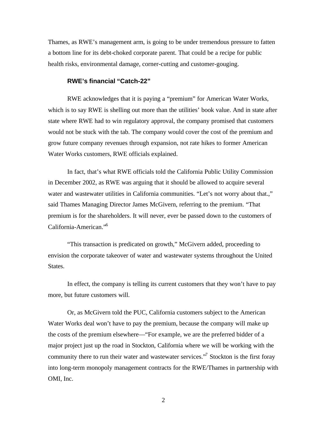Thames, as RWE's management arm, is going to be under tremendous pressure to fatten a bottom line for its debt-choked corporate parent. That could be a recipe for public health risks, environmental damage, corner-cutting and customer-gouging.

# **RWE's financial "Catch-22"**

RWE acknowledges that it is paying a "premium" for American Water Works, which is to say RWE is shelling out more than the utilities' book value. And in state after state where RWE had to win regulatory approval, the company promised that customers would not be stuck with the tab. The company would cover the cost of the premium and grow future company revenues through expansion, not rate hikes to former American Water Works customers, RWE officials explained.

In fact, that's what RWE officials told the California Public Utility Commission in December 2002, as RWE was arguing that it should be allowed to acquire several water and wastewater utilities in California communities. "Let's not worry about that.," said Thames Managing Director James McGivern, referring to the premium. "That premium is for the shareholders. It will never, ever be passed down to the customers of California-American."<sup>6</sup>

"This transaction is predicated on growth," McGivern added, proceeding to envision the corporate takeover of water and wastewater systems throughout the United States.

In effect, the company is telling its current customers that they won't have to pay more, but future customers will.

Or, as McGivern told the PUC, California customers subject to the American Water Works deal won't have to pay the premium, because the company will make up the costs of the premium elsewhere—"For example, we are the preferred bidder of a major project just up the road in Stockton, California where we will be working with the community there to run their water and wastewater services."<sup>7</sup> Stockton is the first foray into long-term monopoly management contracts for the RWE/Thames in partnership with OMI, Inc.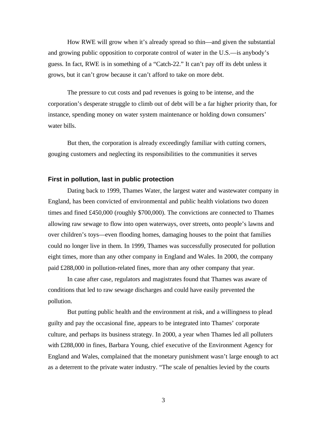How RWE will grow when it's already spread so thin—and given the substantial and growing public opposition to corporate control of water in the U.S.—is anybody's guess. In fact, RWE is in something of a "Catch-22." It can't pay off its debt unless it grows, but it can't grow because it can't afford to take on more debt.

The pressure to cut costs and pad revenues is going to be intense, and the corporation's desperate struggle to climb out of debt will be a far higher priority than, for instance, spending money on water system maintenance or holding down consumers' water bills.

But then, the corporation is already exceedingly familiar with cutting corners, gouging customers and neglecting its responsibilities to the communities it serves

#### **First in pollution, last in public protection**

Dating back to 1999, Thames Water, the largest water and wastewater company in England, has been convicted of environmental and public health violations two dozen times and fined £450,000 (roughly \$700,000). The convictions are connected to Thames allowing raw sewage to flow into open waterways, over streets, onto people's lawns and over children's toys—even flooding homes, damaging houses to the point that families could no longer live in them. In 1999, Thames was successfully prosecuted for pollution eight times, more than any other company in England and Wales. In 2000, the company paid £288,000 in pollution-related fines, more than any other company that year.

In case after case, regulators and magistrates found that Thames was aware of conditions that led to raw sewage discharges and could have easily prevented the pollution.

But putting public health and the environment at risk, and a willingness to plead guilty and pay the occasional fine, appears to be integrated into Thames' corporate culture, and perhaps its business strategy. In 2000, a year when Thames led all polluters with £288,000 in fines, Barbara Young, chief executive of the Environment Agency for England and Wales, complained that the monetary punishment wasn't large enough to act as a deterrent to the private water industry. "The scale of penalties levied by the courts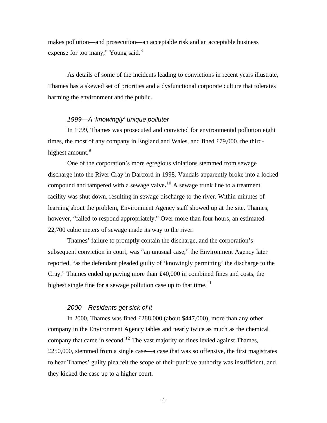makes pollution—and prosecution—an acceptable risk and an acceptable business expense for too many," Young said.<sup>8</sup>

As details of some of the incidents leading to convictions in recent years illustrate, Thames has a skewed set of priorities and a dysfunctional corporate culture that tolerates harming the environment and the public.

#### *1999—A 'knowingly' unique polluter*

In 1999, Thames was prosecuted and convicted for environmental pollution eight times, the most of any company in England and Wales, and fined £79,000, the thirdhighest amount.<sup>9</sup>

One of the corporation's more egregious violations stemmed from sewage discharge into the River Cray in Dartford in 1998. Vandals apparently broke into a locked compound and tampered with a sewage valve**.** <sup>10</sup> A sewage trunk line to a treatment facility was shut down, resulting in sewage discharge to the river. Within minutes of learning about the problem, Environment Agency staff showed up at the site. Thames, however, "failed to respond appropriately." Over more than four hours, an estimated 22,700 cubic meters of sewage made its way to the river.

Thames' failure to promptly contain the discharge, and the corporation's subsequent conviction in court, was "an unusual case," the Environment Agency later reported, "as the defendant pleaded guilty of 'knowingly permitting' the discharge to the Cray." Thames ended up paying more than £40,000 in combined fines and costs, the highest single fine for a sewage pollution case up to that time.<sup>11</sup>

#### *2000—Residents get sick of it*

In 2000, Thames was fined £288,000 (about \$447,000), more than any other company in the Environment Agency tables and nearly twice as much as the chemical company that came in second.<sup>12</sup> The vast majority of fines levied against Thames, £250,000, stemmed from a single case—a case that was so offensive, the first magistrates to hear Thames' guilty plea felt the scope of their punitive authority was insufficient, and they kicked the case up to a higher court.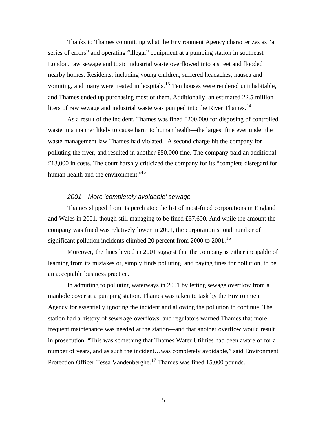Thanks to Thames committing what the Environment Agency characterizes as "a series of errors" and operating "illegal" equipment at a pumping station in southeast London, raw sewage and toxic industrial waste overflowed into a street and flooded nearby homes. Residents, including young children, suffered headaches, nausea and vomiting, and many were treated in hospitals.<sup>13</sup> Ten houses were rendered uninhabitable, and Thames ended up purchasing most of them. Additionally, an estimated 22.5 million liters of raw sewage and industrial waste was pumped into the River Thames.<sup>14</sup>

As a result of the incident, Thames was fined £200,000 for disposing of controlled waste in a manner likely to cause harm to human health—the largest fine ever under the waste management law Thames had violated. A second charge hit the company for polluting the river, and resulted in another £50,000 fine. The company paid an additional £13,000 in costs. The court harshly criticized the company for its "complete disregard for human health and the environment."<sup>15</sup>

# *2001—More 'completely avoidable' sewage*

Thames slipped from its perch atop the list of most-fined corporations in England and Wales in 2001, though still managing to be fined £57,600. And while the amount the company was fined was relatively lower in 2001, the corporation's total number of significant pollution incidents climbed 20 percent from 2000 to 2001.<sup>16</sup>

Moreover, the fines levied in 2001 suggest that the company is either incapable of learning from its mistakes or, simply finds polluting, and paying fines for pollution, to be an acceptable business practice.

In admitting to polluting waterways in 2001 by letting sewage overflow from a manhole cover at a pumping station, Thames was taken to task by the Environment Agency for essentially ignoring the incident and allowing the pollution to continue. The station had a history of sewerage overflows, and regulators warned Thames that more frequent maintenance was needed at the station—and that another overflow would result in prosecution. "This was something that Thames Water Utilities had been aware of for a number of years, and as such the incident…was completely avoidable," said Environment Protection Officer Tessa Vandenberghe.<sup>17</sup> Thames was fined 15,000 pounds.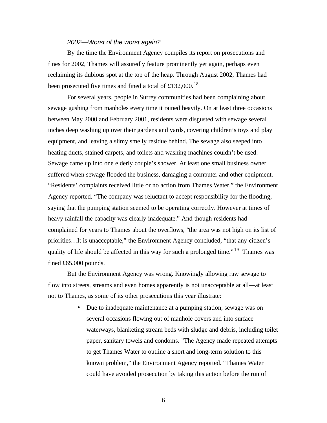## *2002—Worst of the worst again?*

By the time the Environment Agency compiles its report on prosecutions and fines for 2002, Thames will assuredly feature prominently yet again, perhaps even reclaiming its dubious spot at the top of the heap. Through August 2002, Thames had been prosecuted five times and fined a total of £132,000.<sup>18</sup>

For several years, people in Surrey communities had been complaining about sewage gushing from manholes every time it rained heavily. On at least three occasions between May 2000 and February 2001, residents were disgusted with sewage several inches deep washing up over their gardens and yards, covering children's toys and play equipment, and leaving a slimy smelly residue behind. The sewage also seeped into heating ducts, stained carpets, and toilets and washing machines couldn't be used. Sewage came up into one elderly couple's shower. At least one small business owner suffered when sewage flooded the business, damaging a computer and other equipment. "Residents' complaints received little or no action from Thames Water," the Environment Agency reported. "The company was reluctant to accept responsibility for the flooding, saying that the pumping station seemed to be operating correctly. However at times of heavy rainfall the capacity was clearly inadequate." And though residents had complained for years to Thames about the overflows, "the area was not high on its list of priorities…It is unacceptable," the Environment Agency concluded, "that any citizen's quality of life should be affected in this way for such a prolonged time."<sup>19</sup> Thames was fined £65,000 pounds.

But the Environment Agency was wrong. Knowingly allowing raw sewage to flow into streets, streams and even homes apparently is not unacceptable at all—at least not to Thames, as some of its other prosecutions this year illustrate:

> • Due to inadequate maintenance at a pumping station, sewage was on several occasions flowing out of manhole covers and into surface waterways, blanketing stream beds with sludge and debris, including toilet paper, sanitary towels and condoms. "The Agency made repeated attempts to get Thames Water to outline a short and long-term solution to this known problem," the Environment Agency reported. "Thames Water could have avoided prosecution by taking this action before the run of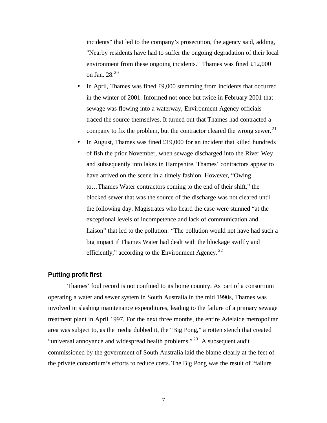incidents" that led to the company's prosecution, the agency said, adding, "Nearby residents have had to suffer the ongoing degradation of their local environment from these ongoing incidents." Thames was fined £12,000 on Jan. 28.<sup>20</sup>

- In April, Thames was fined £9,000 stemming from incidents that occurred in the winter of 2001. Informed not once but twice in February 2001 that sewage was flowing into a waterway, Environment Agency officials traced the source themselves. It turned out that Thames had contracted a company to fix the problem, but the contractor cleared the wrong sewer.<sup>21</sup>
- In August, Thames was fined £19,000 for an incident that killed hundreds of fish the prior November, when sewage discharged into the River Wey and subsequently into lakes in Hampshire. Thames' contractors appear to have arrived on the scene in a timely fashion. However, "Owing to…Thames Water contractors coming to the end of their shift," the blocked sewer that was the source of the discharge was not cleared until the following day. Magistrates who heard the case were stunned "at the exceptional levels of incompetence and lack of communication and liaison" that led to the pollution. "The pollution would not have had such a big impact if Thames Water had dealt with the blockage swiftly and efficiently," according to the Environment Agency. $^{22}$

### **Putting profit first**

Thames' foul record is not confined to its home country. As part of a consortium operating a water and sewer system in South Australia in the mid 1990s, Thames was involved in slashing maintenance expenditures, leading to the failure of a primary sewage treatment plant in April 1997. For the next three months, the entire Adelaide metropolitan area was subject to, as the media dubbed it, the "Big Pong," a rotten stench that created "universal annoyance and widespread health problems."<sup>23</sup> A subsequent audit commissioned by the government of South Australia laid the blame clearly at the feet of the private consortium's efforts to reduce costs. The Big Pong was the result of "failure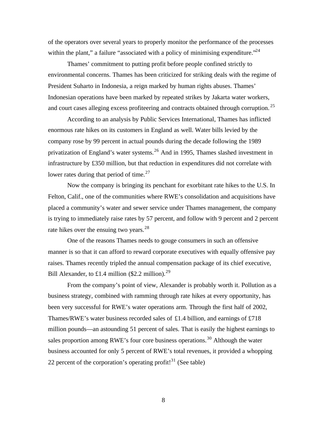of the operators over several years to properly monitor the performance of the processes within the plant," a failure "associated with a policy of minimising expenditure."  $24$ 

Thames' commitment to putting profit before people confined strictly to environmental concerns. Thames has been criticized for striking deals with the regime of President Suharto in Indonesia, a reign marked by human rights abuses. Thames' Indonesian operations have been marked by repeated strikes by Jakarta water workers, and court cases alleging excess profiteering and contracts obtained through corruption.<sup>25</sup>

According to an analysis by Public Services International, Thames has inflicted enormous rate hikes on its customers in England as well. Water bills levied by the company rose by 99 percent in actual pounds during the decade following the 1989 privatization of England's water systems.<sup>26</sup> And in 1995, Thames slashed investment in infrastructure by £350 million, but that reduction in expenditures did not correlate with lower rates during that period of time. $27$ 

Now the company is bringing its penchant for exorbitant rate hikes to the U.S. In Felton, Calif., one of the communities where RWE's consolidation and acquisitions have placed a community's water and sewer service under Thames management, the company is trying to immediately raise rates by 57 percent, and follow with 9 percent and 2 percent rate hikes over the ensuing two vears.<sup>28</sup>

One of the reasons Thames needs to gouge consumers in such an offensive manner is so that it can afford to reward corporate executives with equally offensive pay raises. Thames recently tripled the annual compensation package of its chief executive, Bill Alexander, to £1.4 million (\$2.2 million).<sup>29</sup>

From the company's point of view, Alexander is probably worth it. Pollution as a business strategy, combined with ramming through rate hikes at every opportunity, has been very successful for RWE's water operations arm. Through the first half of 2002, Thames/RWE's water business recorded sales of £1.4 billion, and earnings of £718 million pounds—an astounding 51 percent of sales. That is easily the highest earnings to sales proportion among RWE's four core business operations.<sup>30</sup> Although the water business accounted for only 5 percent of RWE's total revenues, it provided a whopping 22 percent of the corporation's operating profit!<sup>31</sup> (See table)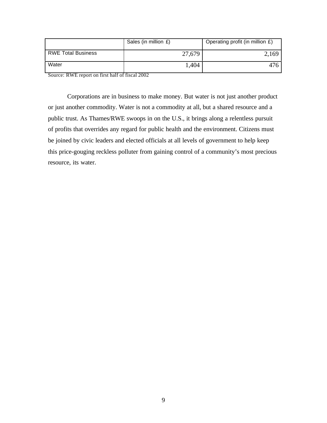|                           | Sales (in million $E$ ) | Operating profit (in million £) |
|---------------------------|-------------------------|---------------------------------|
| <b>RWE Total Business</b> | 27,679                  | 2,169                           |
| Water                     | 1,404                   | 476                             |

Source: RWE report on first half of fiscal 2002

Corporations are in business to make money. But water is not just another product or just another commodity. Water is not a commodity at all, but a shared resource and a public trust. As Thames/RWE swoops in on the U.S., it brings along a relentless pursuit of profits that overrides any regard for public health and the environment. Citizens must be joined by civic leaders and elected officials at all levels of government to help keep this price-gouging reckless polluter from gaining control of a community's most precious resource, its water.